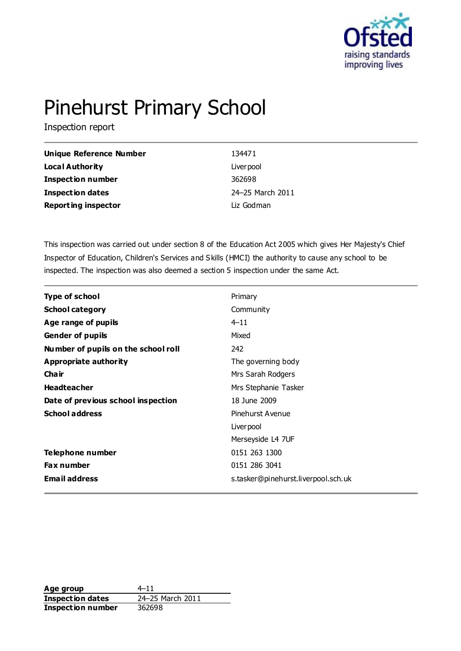

# Pinehurst Primary School

Inspection report

| Unique Reference Number    | 134471           |
|----------------------------|------------------|
| <b>Local Authority</b>     | Liver pool       |
| <b>Inspection number</b>   | 362698           |
| Inspection dates           | 24-25 March 2011 |
| <b>Reporting inspector</b> | Liz Godman       |

This inspection was carried out under section 8 of the Education Act 2005 which gives Her Majesty's Chief Inspector of Education, Children's Services and Skills (HMCI) the authority to cause any school to be inspected. The inspection was also deemed a section 5 inspection under the same Act.

| Type of school                      | Primary                             |
|-------------------------------------|-------------------------------------|
| <b>School category</b>              | Community                           |
| Age range of pupils                 | $4 - 11$                            |
| <b>Gender of pupils</b>             | Mixed                               |
| Number of pupils on the school roll | 242                                 |
| Appropriate authority               | The governing body                  |
| Cha ir                              | Mrs Sarah Rodgers                   |
| <b>Headteacher</b>                  | Mrs Stephanie Tasker                |
| Date of previous school inspection  | 18 June 2009                        |
| <b>School address</b>               | Pinehurst Avenue                    |
|                                     | Liver pool                          |
|                                     | Merseyside L4 7UF                   |
| Telephone number                    | 0151 263 1300                       |
| Fax number                          | 0151 286 3041                       |
| <b>Email address</b>                | s.tasker@pinehurst.liverpool.sch.uk |

**Age group** 4–11 **Inspection dates** 24–25 March 2011 **Inspection number** 362698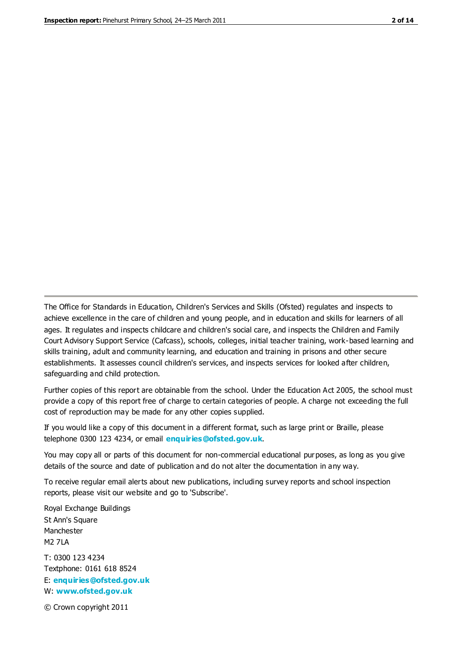The Office for Standards in Education, Children's Services and Skills (Ofsted) regulates and inspects to achieve excellence in the care of children and young people, and in education and skills for learners of all ages. It regulates and inspects childcare and children's social care, and inspects the Children and Family Court Advisory Support Service (Cafcass), schools, colleges, initial teacher training, work-based learning and skills training, adult and community learning, and education and training in prisons and other secure establishments. It assesses council children's services, and inspects services for looked after children, safeguarding and child protection.

Further copies of this report are obtainable from the school. Under the Education Act 2005, the school must provide a copy of this report free of charge to certain categories of people. A charge not exceeding the full cost of reproduction may be made for any other copies supplied.

If you would like a copy of this document in a different format, such as large print or Braille, please telephone 0300 123 4234, or email **[enquiries@ofsted.gov.uk](mailto:enquiries@ofsted.gov.uk)**.

You may copy all or parts of this document for non-commercial educational purposes, as long as you give details of the source and date of publication and do not alter the documentation in any way.

To receive regular email alerts about new publications, including survey reports and school inspection reports, please visit our website and go to 'Subscribe'.

Royal Exchange Buildings St Ann's Square Manchester M2 7LA T: 0300 123 4234 Textphone: 0161 618 8524 E: **[enquiries@ofsted.gov.uk](mailto:enquiries@ofsted.gov.uk)**

W: **[www.ofsted.gov.uk](http://www.ofsted.gov.uk/)**

© Crown copyright 2011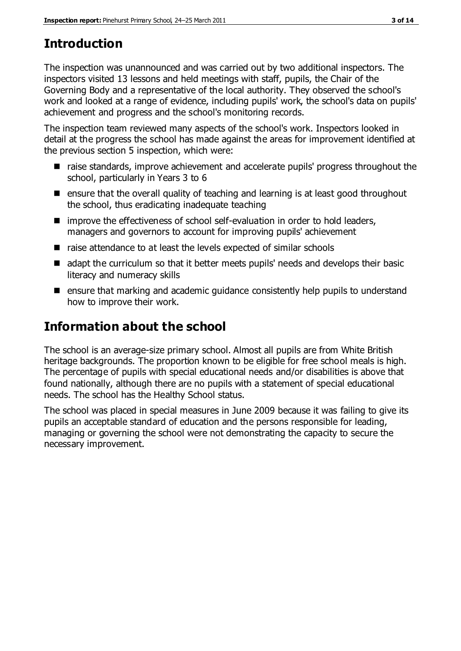# **Introduction**

The inspection was unannounced and was carried out by two additional inspectors. The inspectors visited 13 lessons and held meetings with staff, pupils, the Chair of the Governing Body and a representative of the local authority. They observed the school's work and looked at a range of evidence, including pupils' work, the school's data on pupils' achievement and progress and the school's monitoring records.

The inspection team reviewed many aspects of the school's work. Inspectors looked in detail at the progress the school has made against the areas for improvement identified at the previous section 5 inspection, which were:

- raise standards, improve achievement and accelerate pupils' progress throughout the school, particularly in Years 3 to 6
- $\blacksquare$  ensure that the overall quality of teaching and learning is at least good throughout the school, thus eradicating inadequate teaching
- improve the effectiveness of school self-evaluation in order to hold leaders, managers and governors to account for improving pupils' achievement
- raise attendance to at least the levels expected of similar schools
- ded adapt the curriculum so that it better meets pupils' needs and develops their basic literacy and numeracy skills
- **E** ensure that marking and academic guidance consistently help pupils to understand how to improve their work.

# **Information about the school**

The school is an average-size primary school. Almost all pupils are from White British heritage backgrounds. The proportion known to be eligible for free school meals is high. The percentage of pupils with special educational needs and/or disabilities is above that found nationally, although there are no pupils with a statement of special educational needs. The school has the Healthy School status.

The school was placed in special measures in June 2009 because it was failing to give its pupils an acceptable standard of education and the persons responsible for leading, managing or governing the school were not demonstrating the capacity to secure the necessary improvement.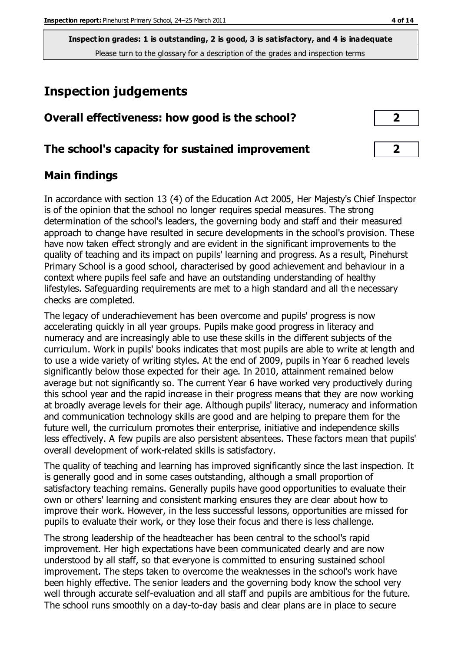**Inspection grades: 1 is outstanding, 2 is good, 3 is satisfactory, and 4 is inadequate** Please turn to the glossary for a description of the grades and inspection terms

# **Inspection judgements**

| Overall effectiveness: how good is the school?  |  |
|-------------------------------------------------|--|
| The school's capacity for sustained improvement |  |

#### **Main findings**

In accordance with section 13 (4) of the Education Act 2005, Her Majesty's Chief Inspector is of the opinion that the school no longer requires special measures. The strong determination of the school's leaders, the governing body and staff and their measured approach to change have resulted in secure developments in the school's provision. These have now taken effect strongly and are evident in the significant improvements to the quality of teaching and its impact on pupils' learning and progress. As a result, Pinehurst Primary School is a good school, characterised by good achievement and behaviour in a context where pupils feel safe and have an outstanding understanding of healthy lifestyles. Safeguarding requirements are met to a high standard and all the necessary checks are completed.

The legacy of underachievement has been overcome and pupils' progress is now accelerating quickly in all year groups. Pupils make good progress in literacy and numeracy and are increasingly able to use these skills in the different subjects of the curriculum. Work in pupils' books indicates that most pupils are able to write at length and to use a wide variety of writing styles. At the end of 2009, pupils in Year 6 reached levels significantly below those expected for their age. In 2010, attainment remained below average but not significantly so. The current Year 6 have worked very productively during this school year and the rapid increase in their progress means that they are now working at broadly average levels for their age. Although pupils' literacy, numeracy and information and communication technology skills are good and are helping to prepare them for the future well, the curriculum promotes their enterprise, initiative and independence skills less effectively. A few pupils are also persistent absentees. These factors mean that pupils' overall development of work-related skills is satisfactory.

The quality of teaching and learning has improved significantly since the last inspection. It is generally good and in some cases outstanding, although a small proportion of satisfactory teaching remains. Generally pupils have good opportunities to evaluate their own or others' learning and consistent marking ensures they are clear about how to improve their work. However, in the less successful lessons, opportunities are missed for pupils to evaluate their work, or they lose their focus and there is less challenge.

The strong leadership of the headteacher has been central to the school's rapid improvement. Her high expectations have been communicated clearly and are now understood by all staff, so that everyone is committed to ensuring sustained school improvement. The steps taken to overcome the weaknesses in the school's work have been highly effective. The senior leaders and the governing body know the school very well through accurate self-evaluation and all staff and pupils are ambitious for the future. The school runs smoothly on a day-to-day basis and clear plans are in place to secure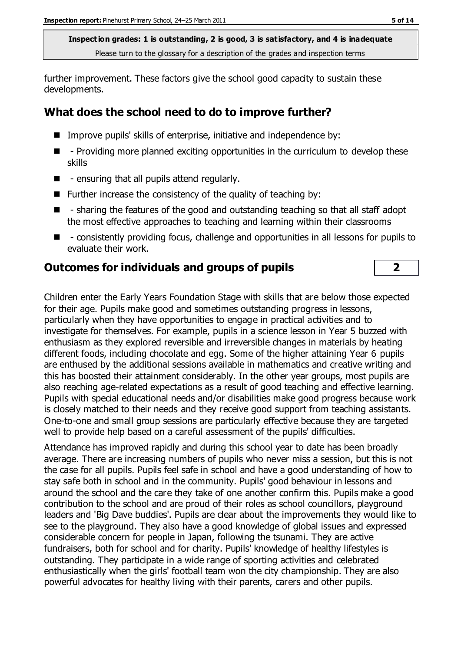**Inspection grades: 1 is outstanding, 2 is good, 3 is satisfactory, and 4 is inadequate** Please turn to the glossary for a description of the grades and inspection terms

further improvement. These factors give the school good capacity to sustain these developments.

#### **What does the school need to do to improve further?**

- Improve pupils' skills of enterprise, initiative and independence by:
- $\blacksquare$  Providing more planned exciting opportunities in the curriculum to develop these skills
- $\blacksquare$  ensuring that all pupils attend regularly.
- $\blacksquare$  Further increase the consistency of the quality of teaching by:
- - sharing the features of the good and outstanding teaching so that all staff adopt the most effective approaches to teaching and learning within their classrooms
- **E** consistently providing focus, challenge and opportunities in all lessons for pupils to evaluate their work.

#### **Outcomes for individuals and groups of pupils 2**

Children enter the Early Years Foundation Stage with skills that are below those expected for their age. Pupils make good and sometimes outstanding progress in lessons, particularly when they have opportunities to engage in practical activities and to investigate for themselves. For example, pupils in a science lesson in Year 5 buzzed with enthusiasm as they explored reversible and irreversible changes in materials by heating different foods, including chocolate and egg. Some of the higher attaining Year 6 pupils are enthused by the additional sessions available in mathematics and creative writing and this has boosted their attainment considerably. In the other year groups, most pupils are also reaching age-related expectations as a result of good teaching and effective learning. Pupils with special educational needs and/or disabilities make good progress because work is closely matched to their needs and they receive good support from teaching assistants. One-to-one and small group sessions are particularly effective because they are targeted well to provide help based on a careful assessment of the pupils' difficulties.

Attendance has improved rapidly and during this school year to date has been broadly average. There are increasing numbers of pupils who never miss a session, but this is not the case for all pupils. Pupils feel safe in school and have a good understanding of how to stay safe both in school and in the community. Pupils' good behaviour in lessons and around the school and the care they take of one another confirm this. Pupils make a good contribution to the school and are proud of their roles as school councillors, playground leaders and 'Big Dave buddies'. Pupils are clear about the improvements they would like to see to the playground. They also have a good knowledge of global issues and expressed considerable concern for people in Japan, following the tsunami. They are active fundraisers, both for school and for charity. Pupils' knowledge of healthy lifestyles is outstanding. They participate in a wide range of sporting activities and celebrated enthusiastically when the girls' football team won the city championship. They are also powerful advocates for healthy living with their parents, carers and other pupils.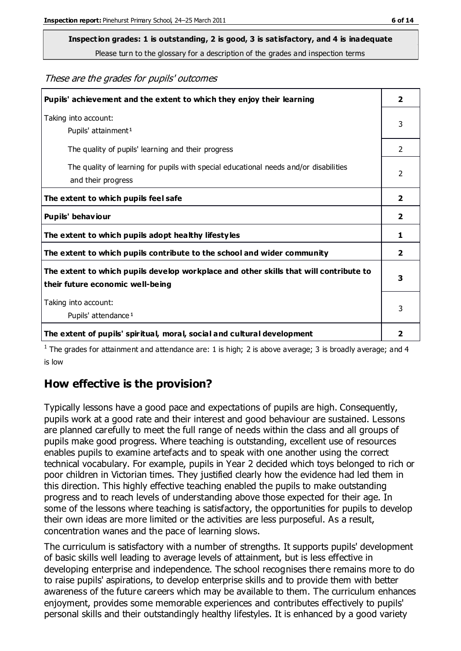# **Inspection grades: 1 is outstanding, 2 is good, 3 is satisfactory, and 4 is inadequate**

Please turn to the glossary for a description of the grades and inspection terms

#### These are the grades for pupils' outcomes

| Pupils' achievement and the extent to which they enjoy their learning                                                     | $\overline{2}$          |
|---------------------------------------------------------------------------------------------------------------------------|-------------------------|
| Taking into account:<br>Pupils' attainment <sup>1</sup>                                                                   | 3                       |
| The quality of pupils' learning and their progress                                                                        | $\mathcal{P}$           |
| The quality of learning for pupils with special educational needs and/or disabilities<br>and their progress               | 2                       |
| The extent to which pupils feel safe                                                                                      | $\overline{2}$          |
| Pupils' behaviour                                                                                                         | $\mathbf{2}$            |
| The extent to which pupils adopt healthy lifestyles                                                                       | 1                       |
| The extent to which pupils contribute to the school and wider community                                                   | $\overline{\mathbf{2}}$ |
| The extent to which pupils develop workplace and other skills that will contribute to<br>their future economic well-being | 3                       |
| Taking into account:<br>Pupils' attendance <sup>1</sup>                                                                   | 3                       |
| The extent of pupils' spiritual, moral, social and cultural development                                                   | $\overline{2}$          |

<sup>1</sup> The grades for attainment and attendance are: 1 is high; 2 is above average; 3 is broadly average; and 4 is low

#### **How effective is the provision?**

Typically lessons have a good pace and expectations of pupils are high. Consequently, pupils work at a good rate and their interest and good behaviour are sustained. Lessons are planned carefully to meet the full range of needs within the class and all groups of pupils make good progress. Where teaching is outstanding, excellent use of resources enables pupils to examine artefacts and to speak with one another using the correct technical vocabulary. For example, pupils in Year 2 decided which toys belonged to rich or poor children in Victorian times. They justified clearly how the evidence had led them in this direction. This highly effective teaching enabled the pupils to make outstanding progress and to reach levels of understanding above those expected for their age. In some of the lessons where teaching is satisfactory, the opportunities for pupils to develop their own ideas are more limited or the activities are less purposeful. As a result, concentration wanes and the pace of learning slows.

The curriculum is satisfactory with a number of strengths. It supports pupils' development of basic skills well leading to average levels of attainment, but is less effective in developing enterprise and independence. The school recognises there remains more to do to raise pupils' aspirations, to develop enterprise skills and to provide them with better awareness of the future careers which may be available to them. The curriculum enhances enjoyment, provides some memorable experiences and contributes effectively to pupils' personal skills and their outstandingly healthy lifestyles. It is enhanced by a good variety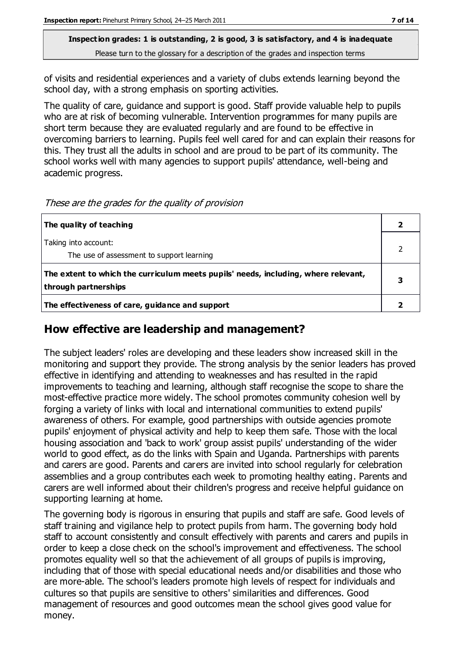**Inspection grades: 1 is outstanding, 2 is good, 3 is satisfactory, and 4 is inadequate** Please turn to the glossary for a description of the grades and inspection terms

of visits and residential experiences and a variety of clubs extends learning beyond the school day, with a strong emphasis on sporting activities.

The quality of care, guidance and support is good. Staff provide valuable help to pupils who are at risk of becoming vulnerable. Intervention programmes for many pupils are short term because they are evaluated regularly and are found to be effective in overcoming barriers to learning. Pupils feel well cared for and can explain their reasons for this. They trust all the adults in school and are proud to be part of its community. The school works well with many agencies to support pupils' attendance, well-being and academic progress.

These are the grades for the quality of provision

| The quality of teaching                                                                                    |  |
|------------------------------------------------------------------------------------------------------------|--|
| Taking into account:<br>The use of assessment to support learning                                          |  |
| The extent to which the curriculum meets pupils' needs, including, where relevant,<br>through partnerships |  |
| The effectiveness of care, guidance and support                                                            |  |

#### **How effective are leadership and management?**

The subject leaders' roles are developing and these leaders show increased skill in the monitoring and support they provide. The strong analysis by the senior leaders has proved effective in identifying and attending to weaknesses and has resulted in the rapid improvements to teaching and learning, although staff recognise the scope to share the most-effective practice more widely. The school promotes community cohesion well by forging a variety of links with local and international communities to extend pupils' awareness of others. For example, good partnerships with outside agencies promote pupils' enjoyment of physical activity and help to keep them safe. Those with the local housing association and 'back to work' group assist pupils' understanding of the wider world to good effect, as do the links with Spain and Uganda. Partnerships with parents and carers are good. Parents and carers are invited into school regularly for celebration assemblies and a group contributes each week to promoting healthy eating. Parents and carers are well informed about their children's progress and receive helpful guidance on supporting learning at home.

The governing body is rigorous in ensuring that pupils and staff are safe. Good levels of staff training and vigilance help to protect pupils from harm. The governing body hold staff to account consistently and consult effectively with parents and carers and pupils in order to keep a close check on the school's improvement and effectiveness. The school promotes equality well so that the achievement of all groups of pupils is improving, including that of those with special educational needs and/or disabilities and those who are more-able. The school's leaders promote high levels of respect for individuals and cultures so that pupils are sensitive to others' similarities and differences. Good management of resources and good outcomes mean the school gives good value for money.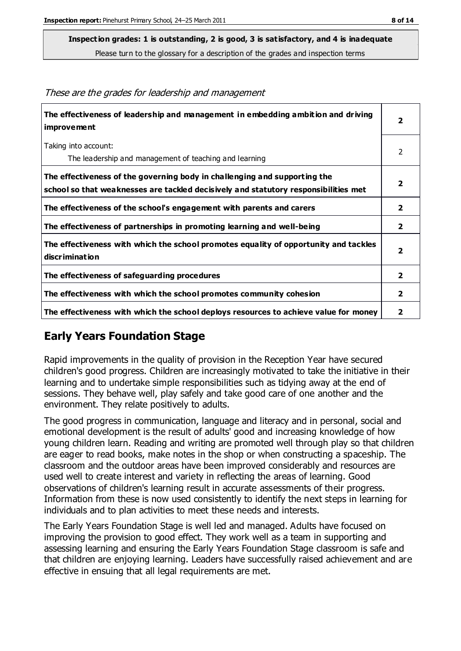**Inspection grades: 1 is outstanding, 2 is good, 3 is satisfactory, and 4 is inadequate**

Please turn to the glossary for a description of the grades and inspection terms

| The effectiveness of leadership and management in embedding ambition and driving<br><b>improvement</b>                                                           | $\overline{\mathbf{2}}$ |
|------------------------------------------------------------------------------------------------------------------------------------------------------------------|-------------------------|
| Taking into account:<br>The leadership and management of teaching and learning                                                                                   | 2                       |
| The effectiveness of the governing body in challenging and supporting the<br>school so that weaknesses are tackled decisively and statutory responsibilities met | $\overline{\mathbf{2}}$ |
| The effectiveness of the school's engagement with parents and carers                                                                                             | $\mathbf{2}$            |
| The effectiveness of partnerships in promoting learning and well-being                                                                                           | $\mathbf{2}$            |
| The effectiveness with which the school promotes equality of opportunity and tackles<br>discrimination                                                           | $\overline{\mathbf{2}}$ |
| The effectiveness of safeguarding procedures                                                                                                                     | $\overline{\mathbf{2}}$ |
| The effectiveness with which the school promotes community cohesion                                                                                              | $\overline{\mathbf{2}}$ |
| The effectiveness with which the school deploys resources to achieve value for money                                                                             | $\mathbf{2}$            |

These are the grades for leadership and management

#### **Early Years Foundation Stage**

Rapid improvements in the quality of provision in the Reception Year have secured children's good progress. Children are increasingly motivated to take the initiative in their learning and to undertake simple responsibilities such as tidying away at the end of sessions. They behave well, play safely and take good care of one another and the environment. They relate positively to adults.

The good progress in communication, language and literacy and in personal, social and emotional development is the result of adults' good and increasing knowledge of how young children learn. Reading and writing are promoted well through play so that children are eager to read books, make notes in the shop or when constructing a spaceship. The classroom and the outdoor areas have been improved considerably and resources are used well to create interest and variety in reflecting the areas of learning. Good observations of children's learning result in accurate assessments of their progress. Information from these is now used consistently to identify the next steps in learning for individuals and to plan activities to meet these needs and interests.

The Early Years Foundation Stage is well led and managed. Adults have focused on improving the provision to good effect. They work well as a team in supporting and assessing learning and ensuring the Early Years Foundation Stage classroom is safe and that children are enjoying learning. Leaders have successfully raised achievement and are effective in ensuing that all legal requirements are met.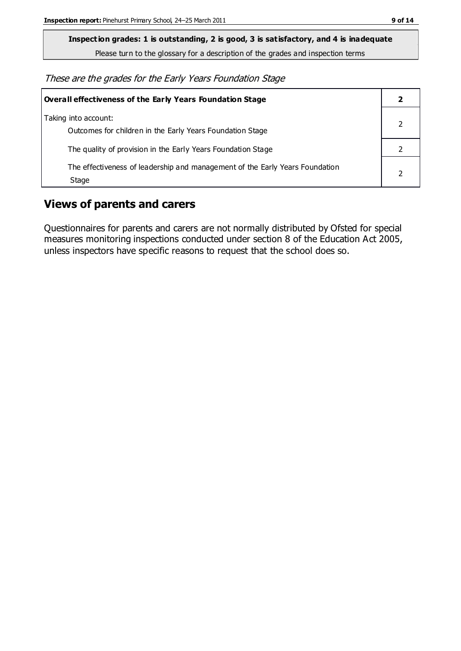**Inspection grades: 1 is outstanding, 2 is good, 3 is satisfactory, and 4 is inadequate**

Please turn to the glossary for a description of the grades and inspection terms

These are the grades for the Early Years Foundation Stage

| <b>Overall effectiveness of the Early Years Foundation Stage</b>                      |  |
|---------------------------------------------------------------------------------------|--|
| Taking into account:<br>Outcomes for children in the Early Years Foundation Stage     |  |
| The quality of provision in the Early Years Foundation Stage                          |  |
| The effectiveness of leadership and management of the Early Years Foundation<br>Stage |  |

#### **Views of parents and carers**

Questionnaires for parents and carers are not normally distributed by Ofsted for special measures monitoring inspections conducted under section 8 of the Education Act 2005, unless inspectors have specific reasons to request that the school does so.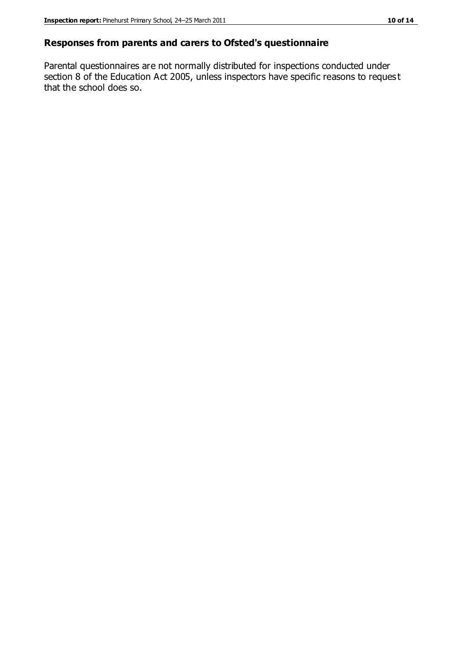#### **Responses from parents and carers to Ofsted's questionnaire**

Parental questionnaires are not normally distributed for inspections conducted under section 8 of the Education Act 2005, unless inspectors have specific reasons to reques t that the school does so.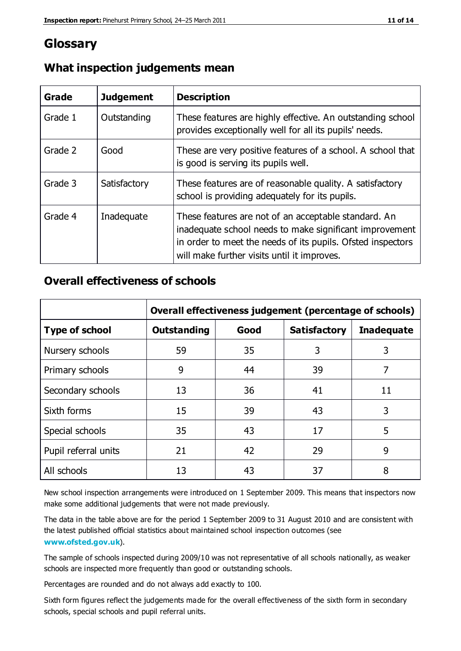#### **Glossary**

| Grade   | <b>Judgement</b> | <b>Description</b>                                                                                                                                                                                                            |
|---------|------------------|-------------------------------------------------------------------------------------------------------------------------------------------------------------------------------------------------------------------------------|
| Grade 1 | Outstanding      | These features are highly effective. An outstanding school<br>provides exceptionally well for all its pupils' needs.                                                                                                          |
| Grade 2 | Good             | These are very positive features of a school. A school that<br>is good is serving its pupils well.                                                                                                                            |
| Grade 3 | Satisfactory     | These features are of reasonable quality. A satisfactory<br>school is providing adequately for its pupils.                                                                                                                    |
| Grade 4 | Inadequate       | These features are not of an acceptable standard. An<br>inadequate school needs to make significant improvement<br>in order to meet the needs of its pupils. Ofsted inspectors<br>will make further visits until it improves. |

#### **What inspection judgements mean**

#### **Overall effectiveness of schools**

|                       | Overall effectiveness judgement (percentage of schools) |      |                     |                   |
|-----------------------|---------------------------------------------------------|------|---------------------|-------------------|
| <b>Type of school</b> | Outstanding                                             | Good | <b>Satisfactory</b> | <b>Inadequate</b> |
| Nursery schools       | 59                                                      | 35   | 3                   | 3                 |
| Primary schools       | 9                                                       | 44   | 39                  | 7                 |
| Secondary schools     | 13                                                      | 36   | 41                  | 11                |
| Sixth forms           | 15                                                      | 39   | 43                  | 3                 |
| Special schools       | 35                                                      | 43   | 17                  | 5                 |
| Pupil referral units  | 21                                                      | 42   | 29                  | 9                 |
| All schools           | 13                                                      | 43   | 37                  | 8                 |

New school inspection arrangements were introduced on 1 September 2009. This means that inspectors now make some additional judgements that were not made previously.

The data in the table above are for the period 1 September 2009 to 31 August 2010 and are consistent with the latest published official statistics about maintained school inspection outcomes (see **[www.ofsted.gov.uk](http://www.ofsted.gov.uk/)**).

The sample of schools inspected during 2009/10 was not representative of all schools nationally, as weaker schools are inspected more frequently than good or outstanding schools.

Percentages are rounded and do not always add exactly to 100.

Sixth form figures reflect the judgements made for the overall effectiveness of the sixth form in secondary schools, special schools and pupil referral units.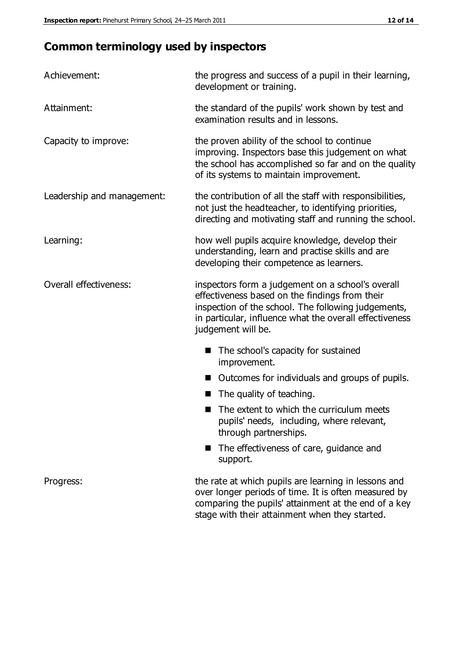### **Common terminology used by inspectors**

| Achievement:                  | the progress and success of a pupil in their learning,<br>development or training.                                                                                                                                                          |  |
|-------------------------------|---------------------------------------------------------------------------------------------------------------------------------------------------------------------------------------------------------------------------------------------|--|
| Attainment:                   | the standard of the pupils' work shown by test and<br>examination results and in lessons.                                                                                                                                                   |  |
| Capacity to improve:          | the proven ability of the school to continue<br>improving. Inspectors base this judgement on what<br>the school has accomplished so far and on the quality<br>of its systems to maintain improvement.                                       |  |
| Leadership and management:    | the contribution of all the staff with responsibilities,<br>not just the headteacher, to identifying priorities,<br>directing and motivating staff and running the school.                                                                  |  |
| Learning:                     | how well pupils acquire knowledge, develop their<br>understanding, learn and practise skills and are<br>developing their competence as learners.                                                                                            |  |
| <b>Overall effectiveness:</b> | inspectors form a judgement on a school's overall<br>effectiveness based on the findings from their<br>inspection of the school. The following judgements,<br>in particular, influence what the overall effectiveness<br>judgement will be. |  |
|                               | The school's capacity for sustained<br>improvement.                                                                                                                                                                                         |  |
|                               | Outcomes for individuals and groups of pupils.                                                                                                                                                                                              |  |
|                               | The quality of teaching.                                                                                                                                                                                                                    |  |
|                               | The extent to which the curriculum meets<br>pupils' needs, including, where relevant,<br>through partnerships.                                                                                                                              |  |
|                               | The effectiveness of care, guidance and<br>support.                                                                                                                                                                                         |  |
| Progress:                     | the rate at which pupils are learning in lessons and<br>over longer periods of time. It is often measured by<br>comparing the pupils' attainment at the end of a key                                                                        |  |

stage with their attainment when they started.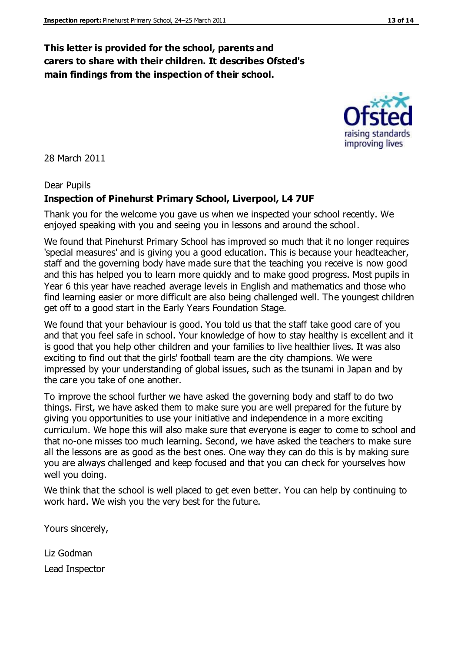#### **This letter is provided for the school, parents and carers to share with their children. It describes Ofsted's main findings from the inspection of their school.**

28 March 2011

#### Dear Pupils

#### **Inspection of Pinehurst Primary School, Liverpool, L4 7UF**

Thank you for the welcome you gave us when we inspected your school recently. We enjoyed speaking with you and seeing you in lessons and around the school.

We found that Pinehurst Primary School has improved so much that it no longer requires 'special measures' and is giving you a good education. This is because your headteacher, staff and the governing body have made sure that the teaching you receive is now good and this has helped you to learn more quickly and to make good progress. Most pupils in Year 6 this year have reached average levels in English and mathematics and those who find learning easier or more difficult are also being challenged well. The youngest children get off to a good start in the Early Years Foundation Stage.

We found that your behaviour is good. You told us that the staff take good care of you and that you feel safe in school. Your knowledge of how to stay healthy is excellent and it is good that you help other children and your families to live healthier lives. It was also exciting to find out that the girls' football team are the city champions. We were impressed by your understanding of global issues, such as the tsunami in Japan and by the care you take of one another.

To improve the school further we have asked the governing body and staff to do two things. First, we have asked them to make sure you are well prepared for the future by giving you opportunities to use your initiative and independence in a more exciting curriculum. We hope this will also make sure that everyone is eager to come to school and that no-one misses too much learning. Second, we have asked the teachers to make sure all the lessons are as good as the best ones. One way they can do this is by making sure you are always challenged and keep focused and that you can check for yourselves how well you doing.

We think that the school is well placed to get even better. You can help by continuing to work hard. We wish you the very best for the future.

Yours sincerely,

Liz Godman Lead Inspector